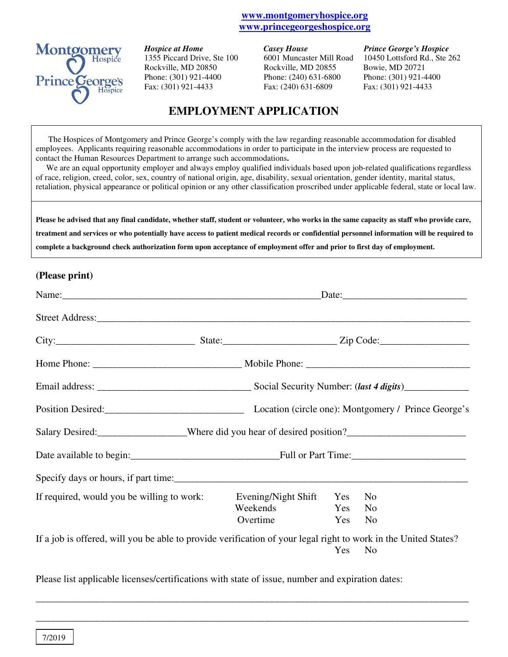#### **www.montgomeryhospice.org www.princegeorgeshospice.org**



*Hospice at Home* **Casey House** *Casey House Prince George's Hospice* Rockville, MD 20850 Rockville, MD 20855 Bowie, MD 20721 Phone: (301) 921-4400 Phone: (240) 631-6800 Phone: (301) 921-4400 Fax: (301) 921-4433 Fax: (240) 631-6809 Fax: (301) 921-4433

1355 Piccard Drive, Ste 100 6001 Muncaster Mill Road 10450 Lottsford Rd., Ste 262

# **EMPLOYMENT APPLICATION**

The Hospices of Montgomery and Prince George's comply with the law regarding reasonable accommodation for disabled employees. Applicants requiring reasonable accommodations in order to participate in the interview process are requested to contact the Human Resources Department to arrange such accommodations**.** 

 We are an equal opportunity employer and always employ qualified individuals based upon job-related qualifications regardless of race, religion, creed, color, sex, country of national origin, age, disability, sexual orientation, gender identity, marital status, retaliation, physical appearance or political opinion or any other classification proscribed under applicable federal, state or local law.

**Please be advised that any final candidate, whether staff, student or volunteer, who works in the same capacity as staff who provide care, treatment and services or who potentially have access to patient medical records or confidential personnel information will be required to complete a background check authorization form upon acceptance of employment offer and prior to first day of employment.** 

#### **(Please print)**

|                                                                                                                 | $\text{Date:}$          |     |                |  |
|-----------------------------------------------------------------------------------------------------------------|-------------------------|-----|----------------|--|
|                                                                                                                 |                         |     |                |  |
|                                                                                                                 |                         |     |                |  |
|                                                                                                                 |                         |     |                |  |
|                                                                                                                 |                         |     |                |  |
| Position Desired: Channel Location (circle one): Montgomery / Prince George's                                   |                         |     |                |  |
| Salary Desired: ___________________Where did you hear of desired position?__________________________            |                         |     |                |  |
|                                                                                                                 |                         |     |                |  |
|                                                                                                                 |                         |     |                |  |
| If required, would you be willing to work:                                                                      | Evening/Night Shift Yes |     | N <sub>o</sub> |  |
|                                                                                                                 | Weekends                | Yes | No             |  |
|                                                                                                                 | Overtime Yes            |     | N <sub>0</sub> |  |
| If a job is offered, will you be able to provide verification of your legal right to work in the United States? |                         |     |                |  |
|                                                                                                                 |                         |     | Yes No         |  |

Please list applicable licenses/certifications with state of issue, number and expiration dates:

\_\_\_\_\_\_\_\_\_\_\_\_\_\_\_\_\_\_\_\_\_\_\_\_\_\_\_\_\_\_\_\_\_\_\_\_\_\_\_\_\_\_\_\_\_\_\_\_\_\_\_\_\_\_\_\_\_\_\_\_\_\_\_\_\_\_\_\_\_\_\_\_\_\_\_\_\_\_\_\_\_\_\_\_\_\_\_

\_\_\_\_\_\_\_\_\_\_\_\_\_\_\_\_\_\_\_\_\_\_\_\_\_\_\_\_\_\_\_\_\_\_\_\_\_\_\_\_\_\_\_\_\_\_\_\_\_\_\_\_\_\_\_\_\_\_\_\_\_\_\_\_\_\_\_\_\_\_\_\_\_\_\_\_\_\_\_\_\_\_\_\_\_\_\_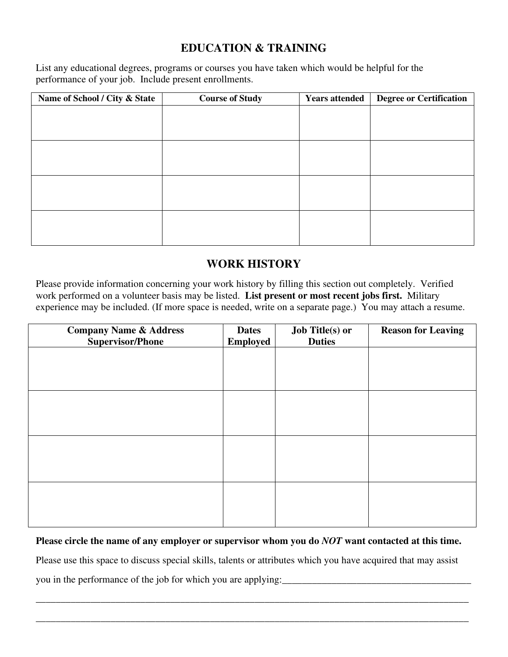## **EDUCATION & TRAINING**

List any educational degrees, programs or courses you have taken which would be helpful for the performance of your job. Include present enrollments.

| Name of School / City & State | <b>Course of Study</b> | <b>Years attended</b> | <b>Degree or Certification</b> |
|-------------------------------|------------------------|-----------------------|--------------------------------|
|                               |                        |                       |                                |
|                               |                        |                       |                                |
|                               |                        |                       |                                |
|                               |                        |                       |                                |
|                               |                        |                       |                                |
|                               |                        |                       |                                |
|                               |                        |                       |                                |
|                               |                        |                       |                                |
|                               |                        |                       |                                |
|                               |                        |                       |                                |
|                               |                        |                       |                                |
|                               |                        |                       |                                |

## **WORK HISTORY**

Please provide information concerning your work history by filling this section out completely. Verified work performed on a volunteer basis may be listed. **List present or most recent jobs first.** Military experience may be included. (If more space is needed, write on a separate page.) You may attach a resume.

| <b>Company Name &amp; Address</b><br><b>Supervisor/Phone</b> | <b>Dates</b><br><b>Employed</b> | <b>Job Title(s) or</b><br><b>Duties</b> | <b>Reason for Leaving</b> |
|--------------------------------------------------------------|---------------------------------|-----------------------------------------|---------------------------|
|                                                              |                                 |                                         |                           |
|                                                              |                                 |                                         |                           |
|                                                              |                                 |                                         |                           |
|                                                              |                                 |                                         |                           |
|                                                              |                                 |                                         |                           |
|                                                              |                                 |                                         |                           |
|                                                              |                                 |                                         |                           |
|                                                              |                                 |                                         |                           |

#### **Please circle the name of any employer or supervisor whom you do** *NOT* **want contacted at this time.**

Please use this space to discuss special skills, talents or attributes which you have acquired that may assist you in the performance of the job for which you are applying:

\_\_\_\_\_\_\_\_\_\_\_\_\_\_\_\_\_\_\_\_\_\_\_\_\_\_\_\_\_\_\_\_\_\_\_\_\_\_\_\_\_\_\_\_\_\_\_\_\_\_\_\_\_\_\_\_\_\_\_\_\_\_\_\_\_\_\_\_\_\_\_\_\_\_\_\_\_\_\_\_\_\_\_\_\_\_\_

\_\_\_\_\_\_\_\_\_\_\_\_\_\_\_\_\_\_\_\_\_\_\_\_\_\_\_\_\_\_\_\_\_\_\_\_\_\_\_\_\_\_\_\_\_\_\_\_\_\_\_\_\_\_\_\_\_\_\_\_\_\_\_\_\_\_\_\_\_\_\_\_\_\_\_\_\_\_\_\_\_\_\_\_\_\_\_